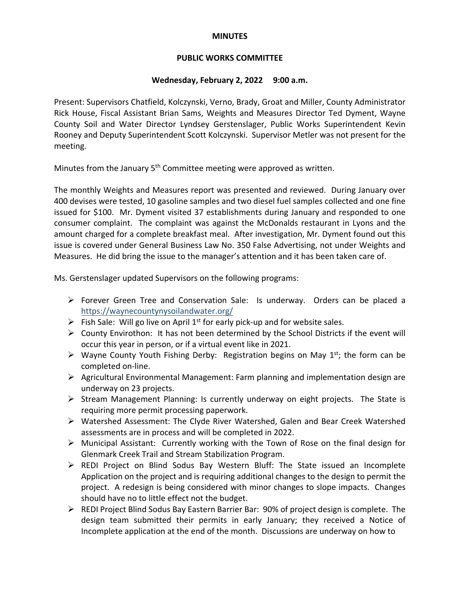#### **MINUTES**

## **PUBLIC WORKS COMMITTEE**

# **Wednesday, February 2, 2022 9:00 a.m.**

Present: Supervisors Chatfield, Kolczynski, Verno, Brady, Groat and Miller, County Administrator Rick House, Fiscal Assistant Brian Sams, Weights and Measures Director Ted Dyment, Wayne County Soil and Water Director Lyndsey Gerstenslager, Public Works Superintendent Kevin Rooney and Deputy Superintendent Scott Kolczynski. Supervisor Metler was not present for the meeting.

Minutes from the January 5<sup>th</sup> Committee meeting were approved as written.

The monthly Weights and Measures report was presented and reviewed. During January over 400 devises were tested, 10 gasoline samples and two diesel fuel samples collected and one fine issued for \$100. Mr. Dyment visited 37 establishments during January and responded to one consumer complaint. The complaint was against the McDonalds restaurant in Lyons and the amount charged for a complete breakfast meal. After investigation, Mr. Dyment found out this issue is covered under General Business Law No. 350 False Advertising, not under Weights and Measures. He did bring the issue to the manager's attention and it has been taken care of.

Ms. Gerstenslager updated Supervisors on the following programs:

- Forever Green Tree and Conservation Sale: Is underway. Orders can be placed a <https://waynecountynysoilandwater.org/>
- Fish Sale: Will go live on April 1<sup>st</sup> for early pick-up and for website sales.
- $\triangleright$  County Envirothon: It has not been determined by the School Districts if the event will occur this year in person, or if a virtual event like in 2021.
- $\triangleright$  Wayne County Youth Fishing Derby: Registration begins on May 1<sup>st</sup>; the form can be completed on-line.
- $\triangleright$  Agricultural Environmental Management: Farm planning and implementation design are underway on 23 projects.
- $\triangleright$  Stream Management Planning: Is currently underway on eight projects. The State is requiring more permit processing paperwork.
- Watershed Assessment: The Clyde River Watershed, Galen and Bear Creek Watershed assessments are in process and will be completed in 2022.
- $\triangleright$  Municipal Assistant: Currently working with the Town of Rose on the final design for Glenmark Creek Trail and Stream Stabilization Program.
- $\triangleright$  REDI Project on Blind Sodus Bay Western Bluff: The State issued an Incomplete Application on the project and is requiring additional changes to the design to permit the project. A redesign is being considered with minor changes to slope impacts. Changes should have no to little effect not the budget.
- $\triangleright$  REDI Project Blind Sodus Bay Eastern Barrier Bar: 90% of project design is complete. The design team submitted their permits in early January; they received a Notice of Incomplete application at the end of the month. Discussions are underway on how to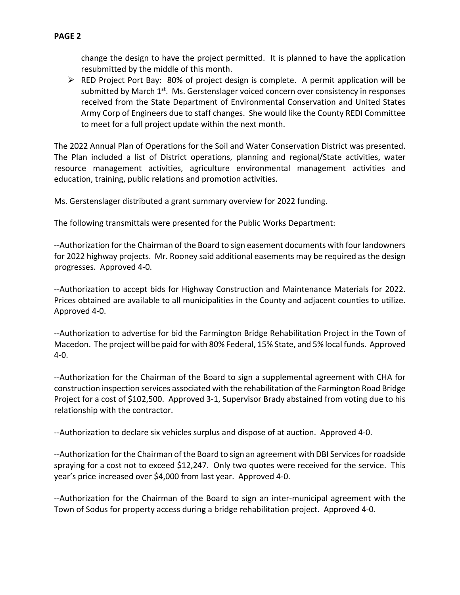RED Project Port Bay: 80% of project design is complete. A permit application will be submitted by March  $1^{st}$ . Ms. Gerstenslager voiced concern over consistency in responses received from the State Department of Environmental Conservation and United States Army Corp of Engineers due to staff changes. She would like the County REDI Committee to meet for a full project update within the next month.

The 2022 Annual Plan of Operations for the Soil and Water Conservation District was presented. The Plan included a list of District operations, planning and regional/State activities, water resource management activities, agriculture environmental management activities and education, training, public relations and promotion activities.

Ms. Gerstenslager distributed a grant summary overview for 2022 funding.

The following transmittals were presented for the Public Works Department:

--Authorization for the Chairman of the Board to sign easement documents with four landowners for 2022 highway projects. Mr. Rooney said additional easements may be required as the design progresses. Approved 4-0.

--Authorization to accept bids for Highway Construction and Maintenance Materials for 2022. Prices obtained are available to all municipalities in the County and adjacent counties to utilize. Approved 4-0.

--Authorization to advertise for bid the Farmington Bridge Rehabilitation Project in the Town of Macedon. The project will be paid for with 80% Federal, 15% State, and 5% local funds. Approved 4-0.

--Authorization for the Chairman of the Board to sign a supplemental agreement with CHA for construction inspection services associated with the rehabilitation of the Farmington Road Bridge Project for a cost of \$102,500. Approved 3-1, Supervisor Brady abstained from voting due to his relationship with the contractor.

--Authorization to declare six vehicles surplus and dispose of at auction. Approved 4-0.

--Authorization for the Chairman of the Board to sign an agreement with DBI Services for roadside spraying for a cost not to exceed \$12,247. Only two quotes were received for the service. This year's price increased over \$4,000 from last year. Approved 4-0.

--Authorization for the Chairman of the Board to sign an inter-municipal agreement with the Town of Sodus for property access during a bridge rehabilitation project. Approved 4-0.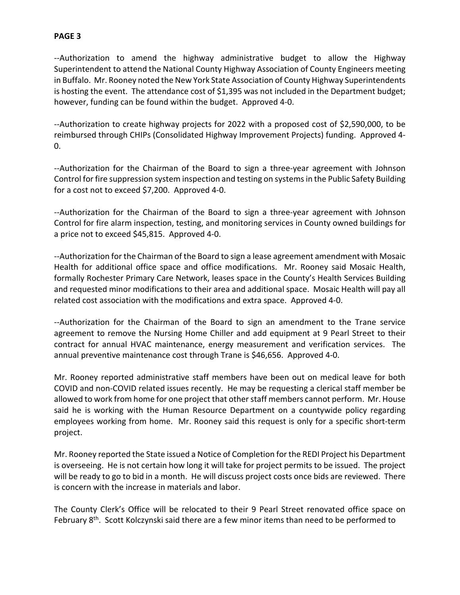### **PAGE 3**

--Authorization to amend the highway administrative budget to allow the Highway Superintendent to attend the National County Highway Association of County Engineers meeting in Buffalo. Mr. Rooney noted the New York State Association of County Highway Superintendents is hosting the event. The attendance cost of \$1,395 was not included in the Department budget; however, funding can be found within the budget. Approved 4-0.

--Authorization to create highway projects for 2022 with a proposed cost of \$2,590,000, to be reimbursed through CHIPs (Consolidated Highway Improvement Projects) funding. Approved 4-  $0.$ 

--Authorization for the Chairman of the Board to sign a three-year agreement with Johnson Control for fire suppression system inspection and testing on systems in the Public Safety Building for a cost not to exceed \$7,200. Approved 4-0.

--Authorization for the Chairman of the Board to sign a three-year agreement with Johnson Control for fire alarm inspection, testing, and monitoring services in County owned buildings for a price not to exceed \$45,815. Approved 4-0.

--Authorization for the Chairman of the Board to sign a lease agreement amendment with Mosaic Health for additional office space and office modifications. Mr. Rooney said Mosaic Health, formally Rochester Primary Care Network, leases space in the County's Health Services Building and requested minor modifications to their area and additional space. Mosaic Health will pay all related cost association with the modifications and extra space. Approved 4-0.

--Authorization for the Chairman of the Board to sign an amendment to the Trane service agreement to remove the Nursing Home Chiller and add equipment at 9 Pearl Street to their contract for annual HVAC maintenance, energy measurement and verification services. The annual preventive maintenance cost through Trane is \$46,656. Approved 4-0.

Mr. Rooney reported administrative staff members have been out on medical leave for both COVID and non-COVID related issues recently. He may be requesting a clerical staff member be allowed to work from home for one project that other staff members cannot perform. Mr. House said he is working with the Human Resource Department on a countywide policy regarding employees working from home. Mr. Rooney said this request is only for a specific short-term project.

Mr. Rooney reported the State issued a Notice of Completion for the REDI Project his Department is overseeing. He is not certain how long it will take for project permits to be issued. The project will be ready to go to bid in a month. He will discuss project costs once bids are reviewed. There is concern with the increase in materials and labor.

The County Clerk's Office will be relocated to their 9 Pearl Street renovated office space on February 8<sup>th</sup>. Scott Kolczynski said there are a few minor items than need to be performed to